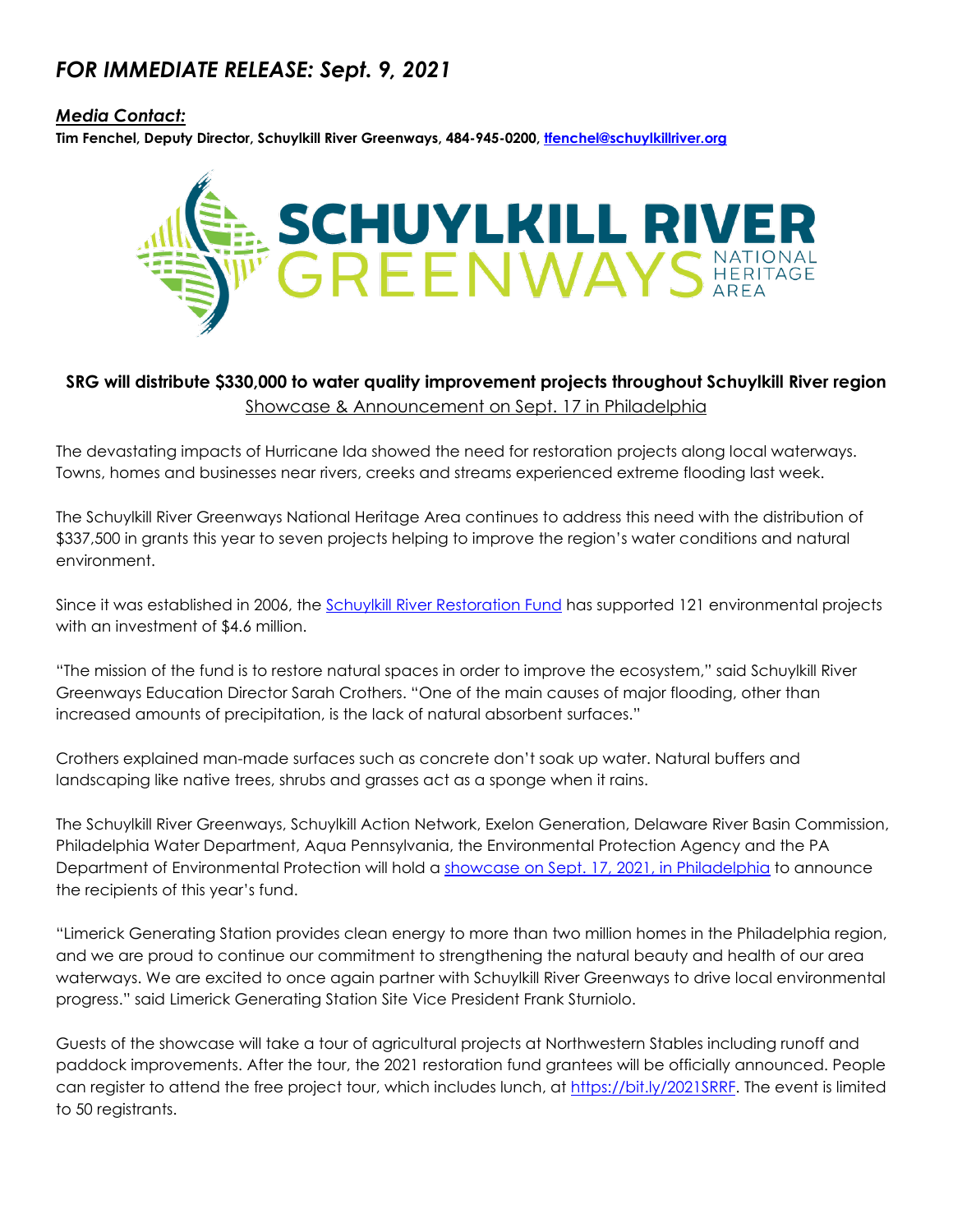## *FOR IMMEDIATE RELEASE: Sept. 9, 2021*

### *Media Contact:*

**Tim Fenchel, Deputy Director, Schuylkill River Greenways, 484-945-0200, [tfenchel@schuylkillriver.org](mailto:tfenchel@schuylkillriver.org)**



## **SRG will distribute \$330,000 to water quality improvement projects throughout Schuylkill River region** Showcase & Announcement on Sept. 17 in Philadelphia

The devastating impacts of Hurricane Ida showed the need for restoration projects along local waterways. Towns, homes and businesses near rivers, creeks and streams experienced extreme flooding last week.

The Schuylkill River Greenways National Heritage Area continues to address this need with the distribution of \$337,500 in grants this year to seven projects helping to improve the region's water conditions and natural environment.

Since it was established in 2006, the [Schuylkill River Restoration Fund](https://schuylkillriver.org/conservation/the-restoration-fund/) has supported 121 environmental projects with an investment of \$4.6 million.

"The mission of the fund is to restore natural spaces in order to improve the ecosystem," said Schuylkill River Greenways Education Director Sarah Crothers. "One of the main causes of major flooding, other than increased amounts of precipitation, is the lack of natural absorbent surfaces."

Crothers explained man-made surfaces such as concrete don't soak up water. Natural buffers and landscaping like native trees, shrubs and grasses act as a sponge when it rains.

The Schuylkill River Greenways, Schuylkill Action Network, Exelon Generation, Delaware River Basin Commission, Philadelphia Water Department, Aqua Pennsylvania, the Environmental Protection Agency and the PA Department of Environmental Protection will hold a [showcase on Sept. 17, 2021, in Philadelphia](https://www.eventbrite.com/e/san-project-showcase-and-srrf-grant-announcement-tickets-166969483219) to announce the recipients of this year's fund.

"Limerick Generating Station provides clean energy to more than two million homes in the Philadelphia region, and we are proud to continue our commitment to strengthening the natural beauty and health of our area waterways. We are excited to once again partner with Schuylkill River Greenways to drive local environmental progress." said Limerick Generating Station Site Vice President Frank Sturniolo.

Guests of the showcase will take a tour of agricultural projects at Northwestern Stables including runoff and paddock improvements. After the tour, the 2021 restoration fund grantees will be officially announced. People can register to attend the free project tour, which includes lunch, at [https://bit.ly/2021SRRF.](https://bit.ly/2021SRRF) The event is limited to 50 registrants.